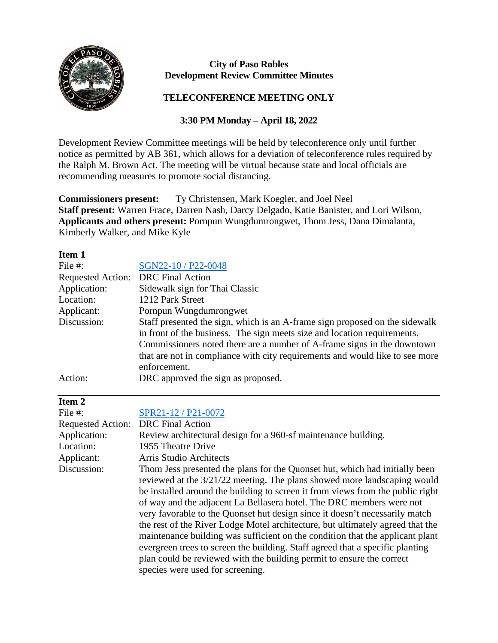

 $\overline{a}$ 

## **City of Paso Robles Development Review Committee Minutes**

## **TELECONFERENCE MEETING ONLY**

## **3:30 PM Monday – April 18, 2022**

Development Review Committee meetings will be held by teleconference only until further notice as permitted by AB 361, which allows for a deviation of teleconference rules required by the Ralph M. Brown Act. The meeting will be virtual because state and local officials are recommending measures to promote social distancing.

**Commissioners present:** Ty Christensen, Mark Koegler, and Joel Neel **Staff present:** Warren Frace, Darren Nash, Darcy Delgado, Katie Banister, and Lori Wilson, **Applicants and others present:** Pornpun Wungdumrongwet, Thom Jess, Dana Dimalanta, Kimberly Walker, and Mike Kyle

| Item 1                   |                                                                              |
|--------------------------|------------------------------------------------------------------------------|
| File $#$ :               | SGN22-10 / P22-0048                                                          |
| <b>Requested Action:</b> | <b>DRC</b> Final Action                                                      |
| Application:             | Sidewalk sign for Thai Classic                                               |
| Location:                | 1212 Park Street                                                             |
| Applicant:               | Pornpun Wungdumrongwet                                                       |
| Discussion:              | Staff presented the sign, which is an A-frame sign proposed on the sidewalk  |
|                          | in front of the business. The sign meets size and location requirements.     |
|                          | Commissioners noted there are a number of A-frame signs in the downtown      |
|                          | that are not in compliance with city requirements and would like to see more |
|                          | enforcement.                                                                 |
| Action:                  | DRC approved the sign as proposed.                                           |

| Item 2                   |                                                                                                                                                                                                                                                                                                                                                                                                                                                                                                                                                                                                                                                                                                                               |
|--------------------------|-------------------------------------------------------------------------------------------------------------------------------------------------------------------------------------------------------------------------------------------------------------------------------------------------------------------------------------------------------------------------------------------------------------------------------------------------------------------------------------------------------------------------------------------------------------------------------------------------------------------------------------------------------------------------------------------------------------------------------|
| File $#$ :               | SPR21-12 / P21-0072                                                                                                                                                                                                                                                                                                                                                                                                                                                                                                                                                                                                                                                                                                           |
| <b>Requested Action:</b> | <b>DRC</b> Final Action                                                                                                                                                                                                                                                                                                                                                                                                                                                                                                                                                                                                                                                                                                       |
| Application:             | Review architectural design for a 960-sf maintenance building.                                                                                                                                                                                                                                                                                                                                                                                                                                                                                                                                                                                                                                                                |
| Location:                | 1955 Theatre Drive                                                                                                                                                                                                                                                                                                                                                                                                                                                                                                                                                                                                                                                                                                            |
| Applicant:               | Arris Studio Architects                                                                                                                                                                                                                                                                                                                                                                                                                                                                                                                                                                                                                                                                                                       |
| Discussion:              | Thom Jess presented the plans for the Quonset hut, which had initially been<br>reviewed at the 3/21/22 meeting. The plans showed more landscaping would<br>be installed around the building to screen it from views from the public right<br>of way and the adjacent La Bellasera hotel. The DRC members were not<br>very favorable to the Quonset hut design since it doesn't necessarily match<br>the rest of the River Lodge Motel architecture, but ultimately agreed that the<br>maintenance building was sufficient on the condition that the applicant plant<br>evergreen trees to screen the building. Staff agreed that a specific planting<br>plan could be reviewed with the building permit to ensure the correct |
|                          | species were used for screening.                                                                                                                                                                                                                                                                                                                                                                                                                                                                                                                                                                                                                                                                                              |